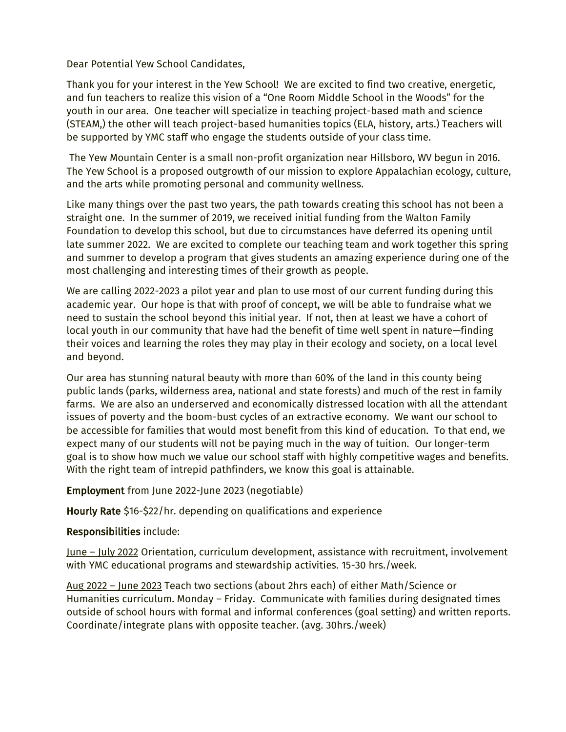Dear Potential Yew School Candidates,

Thank you for your interest in the Yew School! We are excited to find two creative, energetic, and fun teachers to realize this vision of a "One Room Middle School in the Woods" for the youth in our area. One teacher will specialize in teaching project-based math and science (STEAM,) the other will teach project-based humanities topics (ELA, history, arts.) Teachers will be supported by YMC staff who engage the students outside of your class time.

The Yew Mountain Center is a small non-profit organization near Hillsboro, WV begun in 2016. The Yew School is a proposed outgrowth of our mission to explore Appalachian ecology, culture, and the arts while promoting personal and community wellness.

Like many things over the past two years, the path towards creating this school has not been a straight one. In the summer of 2019, we received initial funding from the Walton Family Foundation to develop this school, but due to circumstances have deferred its opening until late summer 2022. We are excited to complete our teaching team and work together this spring and summer to develop a program that gives students an amazing experience during one of the most challenging and interesting times of their growth as people.

We are calling 2022-2023 a pilot year and plan to use most of our current funding during this academic year. Our hope is that with proof of concept, we will be able to fundraise what we need to sustain the school beyond this initial year. If not, then at least we have a cohort of local youth in our community that have had the benefit of time well spent in nature—finding their voices and learning the roles they may play in their ecology and society, on a local level and beyond.

Our area has stunning natural beauty with more than 60% of the land in this county being public lands (parks, wilderness area, national and state forests) and much of the rest in family farms. We are also an underserved and economically distressed location with all the attendant issues of poverty and the boom-bust cycles of an extractive economy. We want our school to be accessible for families that would most benefit from this kind of education. To that end, we expect many of our students will not be paying much in the way of tuition. Our longer-term goal is to show how much we value our school staff with highly competitive wages and benefits. With the right team of intrepid pathfinders, we know this goal is attainable.

## Employment from June 2022-June 2023 (negotiable)

Hourly Rate \$16-\$22/hr. depending on qualifications and experience

## Responsibilities include:

June – July 2022 Orientation, curriculum development, assistance with recruitment, involvement with YMC educational programs and stewardship activities. 15-30 hrs./week.

Aug 2022 – June 2023 Teach two sections (about 2hrs each) of either Math/Science or Humanities curriculum. Monday – Friday. Communicate with families during designated times outside of school hours with formal and informal conferences (goal setting) and written reports. Coordinate/integrate plans with opposite teacher. (avg. 30hrs./week)